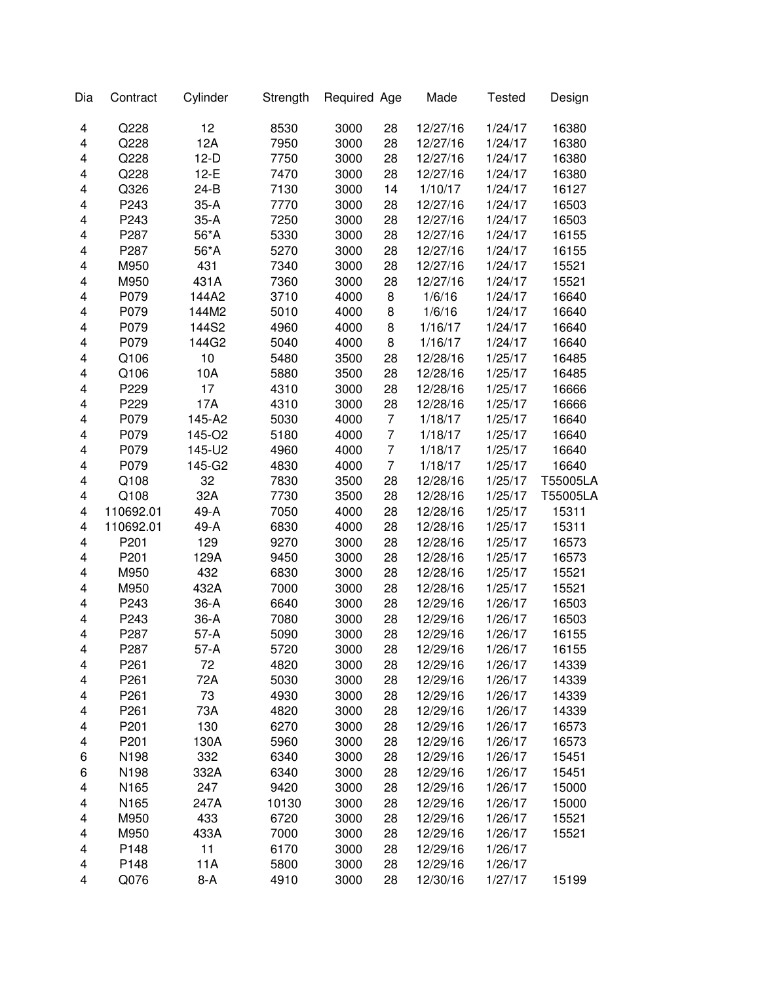| Dia | Contract  | Cylinder | Strength | Required Age |                | Made     | <b>Tested</b> | Design   |
|-----|-----------|----------|----------|--------------|----------------|----------|---------------|----------|
| 4   | Q228      | 12       | 8530     | 3000         | 28             | 12/27/16 | 1/24/17       | 16380    |
| 4   | Q228      | 12A      | 7950     | 3000         | 28             | 12/27/16 | 1/24/17       | 16380    |
| 4   | Q228      | $12-D$   | 7750     | 3000         | 28             | 12/27/16 | 1/24/17       | 16380    |
| 4   | Q228      | $12-E$   | 7470     | 3000         | 28             | 12/27/16 | 1/24/17       | 16380    |
| 4   | Q326      | $24-B$   | 7130     | 3000         | 14             | 1/10/17  | 1/24/17       | 16127    |
| 4   | P243      | $35-A$   | 7770     | 3000         | 28             | 12/27/16 | 1/24/17       | 16503    |
| 4   | P243      | $35-A$   | 7250     | 3000         | 28             | 12/27/16 | 1/24/17       | 16503    |
| 4   | P287      | 56*A     | 5330     | 3000         | 28             | 12/27/16 | 1/24/17       | 16155    |
| 4   | P287      | 56*A     | 5270     | 3000         | 28             | 12/27/16 | 1/24/17       | 16155    |
| 4   | M950      | 431      | 7340     | 3000         | 28             | 12/27/16 | 1/24/17       | 15521    |
| 4   | M950      | 431A     | 7360     | 3000         | 28             | 12/27/16 | 1/24/17       | 15521    |
| 4   | P079      | 144A2    | 3710     | 4000         | 8              | 1/6/16   | 1/24/17       | 16640    |
| 4   | P079      | 144M2    | 5010     | 4000         | 8              | 1/6/16   | 1/24/17       | 16640    |
| 4   | P079      | 144S2    | 4960     | 4000         | 8              | 1/16/17  | 1/24/17       | 16640    |
| 4   | P079      | 144G2    | 5040     | 4000         | 8              | 1/16/17  | 1/24/17       | 16640    |
| 4   | Q106      | 10       | 5480     | 3500         | 28             | 12/28/16 | 1/25/17       | 16485    |
| 4   | Q106      | 10A      | 5880     | 3500         | 28             | 12/28/16 | 1/25/17       | 16485    |
| 4   | P229      | 17       | 4310     | 3000         | 28             | 12/28/16 | 1/25/17       | 16666    |
| 4   | P229      | 17A      | 4310     | 3000         | 28             | 12/28/16 | 1/25/17       | 16666    |
| 4   | P079      | 145-A2   | 5030     | 4000         | 7              | 1/18/17  | 1/25/17       | 16640    |
| 4   | P079      | 145-O2   | 5180     | 4000         | 7              | 1/18/17  | 1/25/17       | 16640    |
| 4   | P079      | 145-U2   | 4960     | 4000         | 7              | 1/18/17  | 1/25/17       | 16640    |
| 4   | P079      | 145-G2   | 4830     | 4000         | $\overline{7}$ | 1/18/17  | 1/25/17       | 16640    |
| 4   | Q108      | 32       | 7830     | 3500         | 28             | 12/28/16 | 1/25/17       | T55005LA |
| 4   | Q108      | 32A      | 7730     | 3500         | 28             | 12/28/16 | 1/25/17       | T55005LA |
| 4   | 110692.01 | 49-A     | 7050     | 4000         | 28             | 12/28/16 | 1/25/17       | 15311    |
| 4   | 110692.01 | 49-A     | 6830     | 4000         | 28             | 12/28/16 | 1/25/17       | 15311    |
| 4   | P201      | 129      | 9270     | 3000         | 28             | 12/28/16 | 1/25/17       | 16573    |
| 4   | P201      | 129A     | 9450     | 3000         | 28             | 12/28/16 | 1/25/17       | 16573    |
| 4   | M950      | 432      | 6830     | 3000         | 28             | 12/28/16 | 1/25/17       | 15521    |
| 4   | M950      | 432A     | 7000     | 3000         | 28             | 12/28/16 | 1/25/17       | 15521    |
| 4   | P243      | $36-A$   | 6640     | 3000         | 28             | 12/29/16 | 1/26/17       | 16503    |
| 4   | P243      | $36-A$   | 7080     | 3000         | 28             | 12/29/16 | 1/26/17       | 16503    |
| 4   | P287      | $57-A$   | 5090     | 3000         | 28             | 12/29/16 | 1/26/17       | 16155    |
| 4   | P287      | 57-A     | 5720     | 3000         | 28             | 12/29/16 | 1/26/17       | 16155    |
| 4   | P261      | 72       | 4820     | 3000         | 28             | 12/29/16 | 1/26/17       | 14339    |
| 4   | P261      | 72A      | 5030     | 3000         | 28             | 12/29/16 | 1/26/17       | 14339    |
| 4   | P261      | 73       | 4930     | 3000         | 28             | 12/29/16 | 1/26/17       | 14339    |
| 4   | P261      | 73A      | 4820     | 3000         | 28             | 12/29/16 | 1/26/17       | 14339    |
| 4   | P201      | 130      | 6270     | 3000         | 28             | 12/29/16 | 1/26/17       | 16573    |
| 4   | P201      | 130A     | 5960     | 3000         | 28             | 12/29/16 | 1/26/17       | 16573    |
| 6   | N198      | 332      | 6340     | 3000         | 28             | 12/29/16 | 1/26/17       | 15451    |
| 6   | N198      | 332A     | 6340     | 3000         | 28             | 12/29/16 | 1/26/17       | 15451    |
| 4   | N165      | 247      | 9420     | 3000         | 28             | 12/29/16 | 1/26/17       | 15000    |
| 4   | N165      | 247A     | 10130    | 3000         | 28             | 12/29/16 | 1/26/17       | 15000    |
| 4   | M950      | 433      | 6720     | 3000         | 28             | 12/29/16 | 1/26/17       | 15521    |
| 4   | M950      | 433A     | 7000     | 3000         | 28             | 12/29/16 | 1/26/17       | 15521    |
| 4   | P148      | 11       | 6170     | 3000         | 28             | 12/29/16 | 1/26/17       |          |
| 4   | P148      | 11A      | 5800     | 3000         | 28             | 12/29/16 | 1/26/17       |          |
| 4   | Q076      | $8-A$    | 4910     | 3000         | 28             | 12/30/16 | 1/27/17       | 15199    |
|     |           |          |          |              |                |          |               |          |